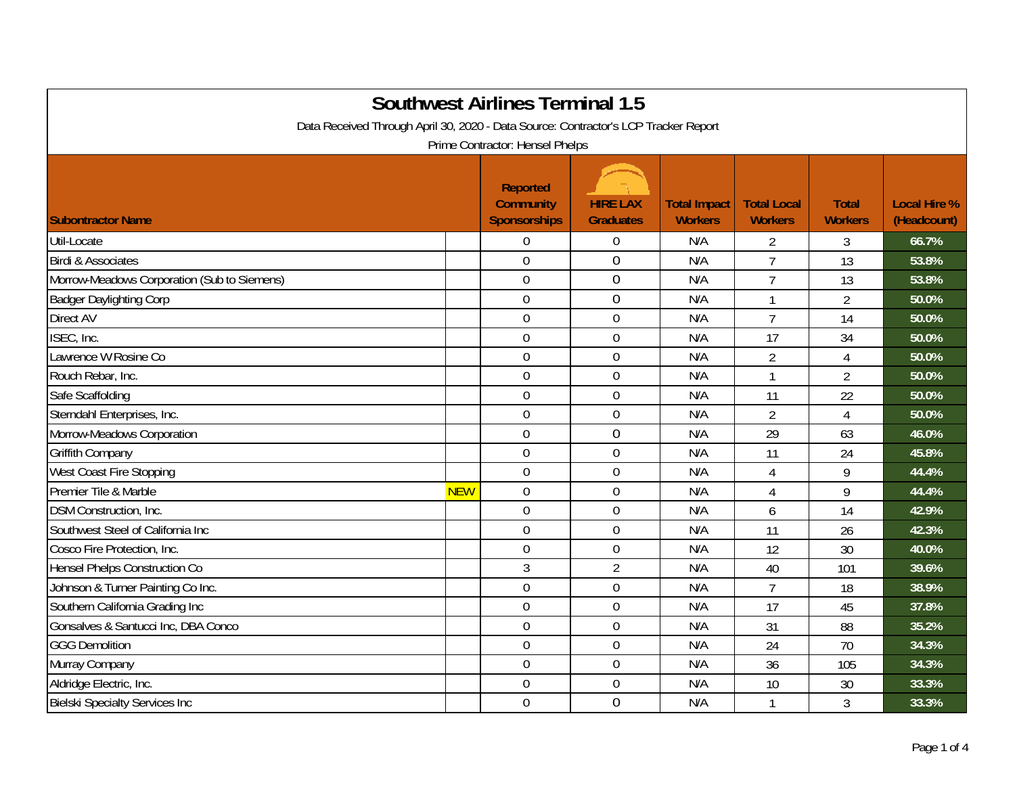| <b>Southwest Airlines Terminal 1.5</b><br>Data Received Through April 30, 2020 - Data Source: Contractor's LCP Tracker Report<br>Prime Contractor: Hensel Phelps |            |                                                            |                                     |                                       |                                      |                                |                                    |  |
|------------------------------------------------------------------------------------------------------------------------------------------------------------------|------------|------------------------------------------------------------|-------------------------------------|---------------------------------------|--------------------------------------|--------------------------------|------------------------------------|--|
| <b>Subontractor Name</b>                                                                                                                                         |            | <b>Reported</b><br><b>Community</b><br><b>Sponsorships</b> | <b>HIRE LAX</b><br><b>Graduates</b> | <b>Total Impact</b><br><b>Workers</b> | <b>Total Local</b><br><b>Workers</b> | <b>Total</b><br><b>Workers</b> | <b>Local Hire %</b><br>(Headcount) |  |
| Util-Locate                                                                                                                                                      |            | $\overline{0}$                                             | $\boldsymbol{0}$                    | N/A                                   | $\overline{2}$                       | 3                              | 66.7%                              |  |
| <b>Birdi &amp; Associates</b>                                                                                                                                    |            | $\overline{0}$                                             | $\overline{0}$                      | N/A                                   | $\overline{7}$                       | 13                             | 53.8%                              |  |
| Morrow-Meadows Corporation (Sub to Siemens)                                                                                                                      |            | $\mathbf 0$                                                | 0                                   | N/A                                   | $\overline{7}$                       | 13                             | 53.8%                              |  |
| <b>Badger Daylighting Corp</b>                                                                                                                                   |            | $\mathbf 0$                                                | $\overline{0}$                      | N/A                                   | 1                                    | $\overline{2}$                 | 50.0%                              |  |
| Direct AV                                                                                                                                                        |            | $\mathbf 0$                                                | $\mathbf 0$                         | N/A                                   | $\overline{7}$                       | 14                             | 50.0%                              |  |
| ISEC, Inc.                                                                                                                                                       |            | $\overline{0}$                                             | $\mathbf 0$                         | N/A                                   | 17                                   | 34                             | 50.0%                              |  |
| Lawrence W Rosine Co                                                                                                                                             |            | $\overline{0}$                                             | $\boldsymbol{0}$                    | N/A                                   | $\overline{2}$                       | 4                              | 50.0%                              |  |
| Rouch Rebar, Inc.                                                                                                                                                |            | $\overline{0}$                                             | $\boldsymbol{0}$                    | N/A                                   | $\mathbf{1}$                         | $\overline{2}$                 | 50.0%                              |  |
| Safe Scaffolding                                                                                                                                                 |            | $\overline{0}$                                             | $\mathbf 0$                         | N/A                                   | 11                                   | 22                             | 50.0%                              |  |
| Sterndahl Enterprises, Inc.                                                                                                                                      |            | $\mathbf 0$                                                | $\mathbf 0$                         | N/A                                   | $\overline{2}$                       | 4                              | 50.0%                              |  |
| Morrow-Meadows Corporation                                                                                                                                       |            | $\overline{0}$                                             | $\overline{0}$                      | N/A                                   | 29                                   | 63                             | 46.0%                              |  |
| Griffith Company                                                                                                                                                 |            | $\overline{0}$                                             | $\overline{0}$                      | N/A                                   | 11                                   | 24                             | 45.8%                              |  |
| West Coast Fire Stopping                                                                                                                                         |            | $\overline{0}$                                             | $\mathbf 0$                         | N/A                                   | $\overline{4}$                       | 9                              | 44.4%                              |  |
| Premier Tile & Marble                                                                                                                                            | <b>NEW</b> | $\mathbf 0$                                                | $\boldsymbol{0}$                    | N/A                                   | 4                                    | 9                              | 44.4%                              |  |
| <b>DSM Construction, Inc.</b>                                                                                                                                    |            | $\mathbf 0$                                                | $\boldsymbol{0}$                    | N/A                                   | 6                                    | 14                             | 42.9%                              |  |
| Southwest Steel of California Inc                                                                                                                                |            | $\overline{0}$                                             | $\mathbf 0$                         | N/A                                   | 11                                   | 26                             | 42.3%                              |  |
| Cosco Fire Protection, Inc.                                                                                                                                      |            | $\overline{0}$                                             | $\boldsymbol{0}$                    | N/A                                   | 12                                   | 30                             | 40.0%                              |  |
| Hensel Phelps Construction Co                                                                                                                                    |            | 3                                                          | $\overline{2}$                      | N/A                                   | 40                                   | 101                            | 39.6%                              |  |
| Johnson & Turner Painting Co Inc.                                                                                                                                |            | $\overline{0}$                                             | $\mathbf 0$                         | N/A                                   | $\overline{7}$                       | 18                             | 38.9%                              |  |
| Southern California Grading Inc                                                                                                                                  |            | $\overline{0}$                                             | $\boldsymbol{0}$                    | N/A                                   | 17                                   | 45                             | 37.8%                              |  |
| Gonsalves & Santucci Inc, DBA Conco                                                                                                                              |            | $\mathbf 0$                                                | $\boldsymbol{0}$                    | N/A                                   | 31                                   | 88                             | 35.2%                              |  |
| <b>GGG Demolition</b>                                                                                                                                            |            | $\mathbf 0$                                                | $\boldsymbol{0}$                    | N/A                                   | 24                                   | 70                             | 34.3%                              |  |
| Murray Company                                                                                                                                                   |            | $\overline{0}$                                             | $\mathbf 0$                         | N/A                                   | 36                                   | 105                            | 34.3%                              |  |
| Aldridge Electric, Inc.                                                                                                                                          |            | $\overline{0}$                                             | $\boldsymbol{0}$                    | N/A                                   | 10                                   | 30                             | 33.3%                              |  |
| <b>Bielski Specialty Services Inc</b>                                                                                                                            |            | $\overline{0}$                                             | 0                                   | N/A                                   |                                      | 3                              | 33.3%                              |  |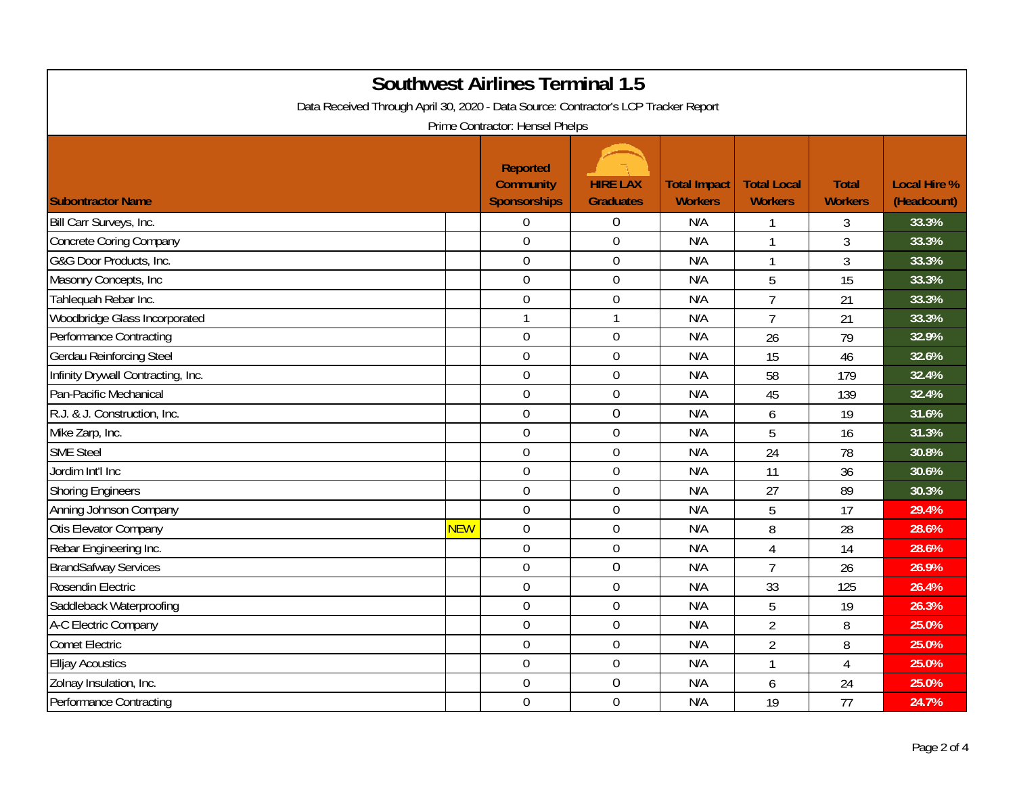| <b>Southwest Airlines Terminal 1.5</b><br>Data Received Through April 30, 2020 - Data Source: Contractor's LCP Tracker Report<br>Prime Contractor: Hensel Phelps |            |                                                     |                                     |                                       |                                      |                                |                                    |  |
|------------------------------------------------------------------------------------------------------------------------------------------------------------------|------------|-----------------------------------------------------|-------------------------------------|---------------------------------------|--------------------------------------|--------------------------------|------------------------------------|--|
| <b>Subontractor Name</b>                                                                                                                                         |            | <b>Reported</b><br><b>Community</b><br>Sponsorships | <b>HIRE LAX</b><br><b>Graduates</b> | <b>Total Impact</b><br><b>Workers</b> | <b>Total Local</b><br><b>Workers</b> | <b>Total</b><br><b>Workers</b> | <b>Local Hire %</b><br>(Headcount) |  |
| Bill Carr Surveys, Inc.                                                                                                                                          |            | $\mathbf 0$                                         | $\overline{0}$                      | N/A                                   | 1                                    | 3                              | 33.3%                              |  |
| <b>Concrete Coring Company</b>                                                                                                                                   |            | $\overline{0}$                                      | $\boldsymbol{0}$                    | N/A                                   | 1                                    | $\mathfrak{Z}$                 | 33.3%                              |  |
| G&G Door Products, Inc.                                                                                                                                          |            | $\mathbf 0$                                         | $\boldsymbol{0}$                    | N/A                                   | $\mathbf{1}$                         | $\mathfrak{Z}$                 | 33.3%                              |  |
| Masonry Concepts, Inc                                                                                                                                            |            | $\overline{0}$                                      | $\overline{0}$                      | N/A                                   | 5                                    | 15                             | 33.3%                              |  |
| Tahlequah Rebar Inc.                                                                                                                                             |            | $\mathbf 0$                                         | $\mathbf 0$                         | N/A                                   | $\overline{7}$                       | 21                             | 33.3%                              |  |
| Woodbridge Glass Incorporated                                                                                                                                    |            |                                                     | $\mathbf{1}$                        | N/A                                   | $\overline{7}$                       | 21                             | 33.3%                              |  |
| <b>Performance Contracting</b>                                                                                                                                   |            | $\mathbf 0$                                         | $\boldsymbol{0}$                    | N/A                                   | 26                                   | 79                             | 32.9%                              |  |
| Gerdau Reinforcing Steel                                                                                                                                         |            | $\overline{0}$                                      | $\overline{0}$                      | N/A                                   | 15                                   | 46                             | 32.6%                              |  |
| Infinity Drywall Contracting, Inc.                                                                                                                               |            | $\mathbf 0$                                         | $\overline{0}$                      | N/A                                   | 58                                   | 179                            | 32.4%                              |  |
| Pan-Pacific Mechanical                                                                                                                                           |            | $\mathbf 0$                                         | $\boldsymbol{0}$                    | N/A                                   | 45                                   | 139                            | 32.4%                              |  |
| R.J. & J. Construction, Inc.                                                                                                                                     |            | $\mathbf 0$                                         | $\boldsymbol{0}$                    | N/A                                   | 6                                    | 19                             | 31.6%                              |  |
| Mike Zarp, Inc.                                                                                                                                                  |            | $\mathbf 0$                                         | $\boldsymbol{0}$                    | N/A                                   | 5                                    | 16                             | 31.3%                              |  |
| <b>SME Steel</b>                                                                                                                                                 |            | $\overline{0}$                                      | $\mathbf 0$                         | N/A                                   | 24                                   | 78                             | 30.8%                              |  |
| Jordim Int'l Inc                                                                                                                                                 |            | $\overline{0}$                                      | $\mathbf 0$                         | N/A                                   | 11                                   | 36                             | 30.6%                              |  |
| <b>Shoring Engineers</b>                                                                                                                                         |            | $\mathbf 0$                                         | $\boldsymbol{0}$                    | N/A                                   | 27                                   | 89                             | 30.3%                              |  |
| Anning Johnson Company                                                                                                                                           |            | $\mathbf 0$                                         | $\mathbf 0$                         | N/A                                   | 5                                    | 17                             | 29.4%                              |  |
| Otis Elevator Company                                                                                                                                            | <b>NEW</b> | $\mathbf 0$                                         | $\mathbf 0$                         | N/A                                   | 8                                    | 28                             | 28.6%                              |  |
| Rebar Engineering Inc.                                                                                                                                           |            | $\overline{0}$                                      | $\mathbf 0$                         | N/A                                   | $\overline{4}$                       | 14                             | 28.6%                              |  |
| <b>BrandSafway Services</b>                                                                                                                                      |            | $\overline{0}$                                      | $\mathbf 0$                         | N/A                                   | $\overline{7}$                       | 26                             | 26.9%                              |  |
| Rosendin Electric                                                                                                                                                |            | $\mathbf 0$                                         | $\boldsymbol{0}$                    | N/A                                   | 33                                   | 125                            | 26.4%                              |  |
| Saddleback Waterproofing                                                                                                                                         |            | $\overline{0}$                                      | $\overline{0}$                      | N/A                                   | 5                                    | 19                             | 26.3%                              |  |
| A-C Electric Company                                                                                                                                             |            | $\mathbf 0$                                         | $\mathbf 0$                         | N/A                                   | $\overline{2}$                       | 8                              | 25.0%                              |  |
| <b>Comet Electric</b>                                                                                                                                            |            | $\overline{0}$                                      | $\boldsymbol{0}$                    | N/A                                   | $\overline{2}$                       | 8                              | 25.0%                              |  |
| <b>Elljay Acoustics</b>                                                                                                                                          |            | $\overline{0}$                                      | $\mathbf 0$                         | N/A                                   | $\mathbf{1}$                         | $\overline{4}$                 | 25.0%                              |  |
| Zolnay Insulation, Inc.                                                                                                                                          |            | $\boldsymbol{0}$                                    | $\boldsymbol{0}$                    | N/A                                   | 6                                    | 24                             | 25.0%                              |  |
| Performance Contracting                                                                                                                                          |            | $\overline{0}$                                      | $\mathbf 0$                         | N/A                                   | 19                                   | 77                             | 24.7%                              |  |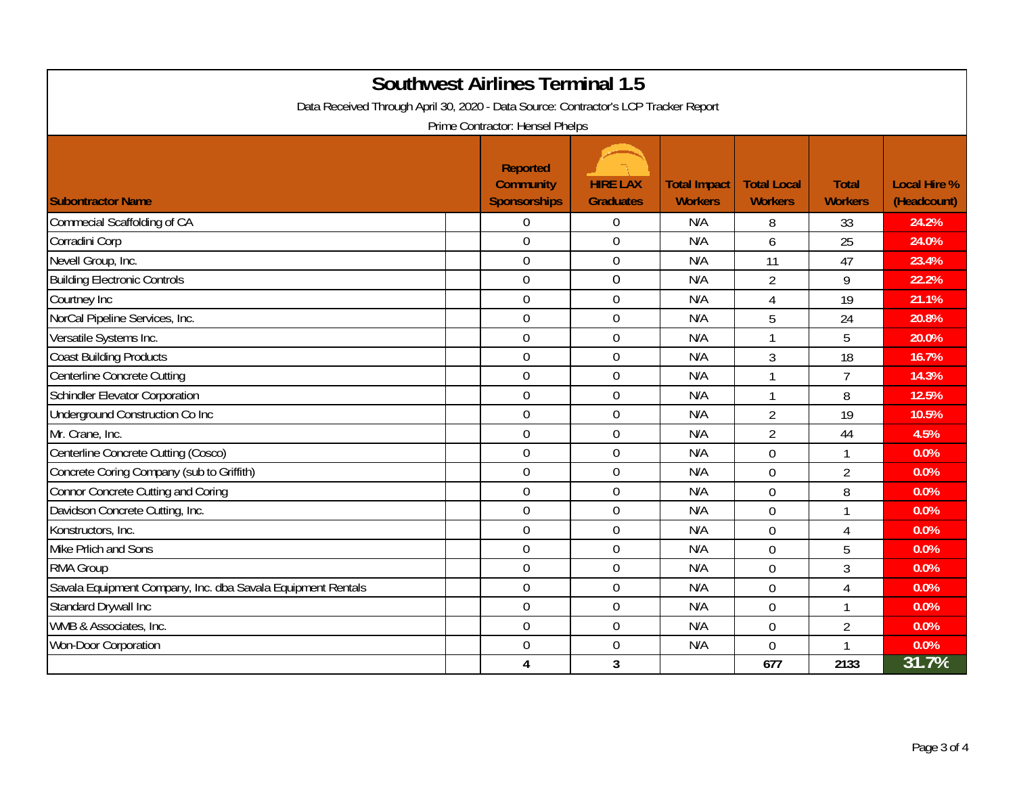| <b>Southwest Airlines Terminal 1.5</b><br>Data Received Through April 30, 2020 - Data Source: Contractor's LCP Tracker Report<br>Prime Contractor: Hensel Phelps |                                                            |                                     |                                       |                                      |                                |                                    |  |  |
|------------------------------------------------------------------------------------------------------------------------------------------------------------------|------------------------------------------------------------|-------------------------------------|---------------------------------------|--------------------------------------|--------------------------------|------------------------------------|--|--|
| <b>Subontractor Name</b>                                                                                                                                         | <b>Reported</b><br><b>Community</b><br><b>Sponsorships</b> | <b>HIRE LAX</b><br><b>Graduates</b> | <b>Total Impact</b><br><b>Workers</b> | <b>Total Local</b><br><b>Workers</b> | <b>Total</b><br><b>Workers</b> | <b>Local Hire %</b><br>(Headcount) |  |  |
| Commecial Scaffolding of CA                                                                                                                                      | $\Omega$                                                   | $\Omega$                            | N/A                                   | 8                                    | 33                             | 24.2%                              |  |  |
| Corradini Corp                                                                                                                                                   | $\mathbf 0$                                                | $\mathbf 0$                         | N/A                                   | 6                                    | 25                             | 24.0%                              |  |  |
| Nevell Group, Inc.                                                                                                                                               | $\overline{0}$                                             | $\boldsymbol{0}$                    | N/A                                   | 11                                   | 47                             | 23.4%                              |  |  |
| <b>Building Electronic Controls</b>                                                                                                                              | $\mathbf 0$                                                | $\boldsymbol{0}$                    | N/A                                   | $\overline{2}$                       | 9                              | 22.2%                              |  |  |
| Courtney Inc                                                                                                                                                     | $\overline{0}$                                             | $\mathbf 0$                         | N/A                                   | 4                                    | 19                             | 21.1%                              |  |  |
| NorCal Pipeline Services, Inc.                                                                                                                                   | $\overline{0}$                                             | $\boldsymbol{0}$                    | N/A                                   | 5                                    | 24                             | 20.8%                              |  |  |
| Versatile Systems Inc.                                                                                                                                           | $\overline{0}$                                             | $\mathbf 0$                         | N/A                                   | $\mathbf{1}$                         | 5                              | 20.0%                              |  |  |
| <b>Coast Building Products</b>                                                                                                                                   | $\overline{0}$                                             | $\overline{0}$                      | N/A                                   | 3                                    | 18                             | 16.7%                              |  |  |
| Centerline Concrete Cutting                                                                                                                                      | $\mathbf 0$                                                | $\boldsymbol{0}$                    | N/A                                   | 1                                    | $\overline{7}$                 | 14.3%                              |  |  |
| Schindler Elevator Corporation                                                                                                                                   | $\overline{0}$                                             | $\mathbf 0$                         | N/A                                   | $\mathbf{1}$                         | 8                              | 12.5%                              |  |  |
| Underground Construction Co Inc                                                                                                                                  | $\overline{0}$                                             | $\mathbf 0$                         | N/A                                   | $\overline{2}$                       | 19                             | 10.5%                              |  |  |
| Mr. Crane, Inc.                                                                                                                                                  | $\mathbf 0$                                                | $\mathbf 0$                         | N/A                                   | $\overline{2}$                       | 44                             | 4.5%                               |  |  |
| Centerline Concrete Cutting (Cosco)                                                                                                                              | $\mathbf 0$                                                | $\mathbf 0$                         | N/A                                   | $\overline{0}$                       | $\mathbf{1}$                   | 0.0%                               |  |  |
| Concrete Coring Company (sub to Griffith)                                                                                                                        | $\overline{0}$                                             | $\mathbf 0$                         | N/A                                   | $\overline{0}$                       | $\overline{2}$                 | 0.0%                               |  |  |
| Connor Concrete Cutting and Coring                                                                                                                               | $\overline{0}$                                             | $\mathbf 0$                         | N/A                                   | $\overline{0}$                       | 8                              | 0.0%                               |  |  |
| Davidson Concrete Cutting, Inc.                                                                                                                                  | $\mathbf 0$                                                | $\mathbf 0$                         | N/A                                   | $\mathbf 0$                          | $\mathbf{1}$                   | 0.0%                               |  |  |
| Konstructors, Inc.                                                                                                                                               | $\overline{0}$                                             | $\overline{0}$                      | N/A                                   | $\overline{0}$                       | $\overline{4}$                 | 0.0%                               |  |  |
| Mike Prlich and Sons                                                                                                                                             | $\mathbf 0$                                                | $\mathbf 0$                         | N/A                                   | $\overline{0}$                       | 5                              | 0.0%                               |  |  |
| RMA Group                                                                                                                                                        | $\mathbf 0$                                                | $\mathbf 0$                         | N/A                                   | $\overline{0}$                       | 3                              | 0.0%                               |  |  |
| Savala Equipment Company, Inc. dba Savala Equipment Rentals                                                                                                      | $\mathbf 0$                                                | $\boldsymbol{0}$                    | N/A                                   | $\mathbf 0$                          | $\overline{4}$                 | 0.0%                               |  |  |
| Standard Drywall Inc                                                                                                                                             | $\overline{0}$                                             | $\mathbf 0$                         | N/A                                   | $\overline{0}$                       | $\mathbf 1$                    | 0.0%                               |  |  |
| WMB & Associates, Inc.                                                                                                                                           | $\mathbf 0$                                                | $\boldsymbol{0}$                    | N/A                                   | $\overline{0}$                       | $\overline{2}$                 | 0.0%                               |  |  |
| Won-Door Corporation                                                                                                                                             | $\overline{0}$                                             | $\mathbf 0$                         | N/A                                   | 0                                    | $\mathbf{1}$                   | 0.0%                               |  |  |
|                                                                                                                                                                  | 4                                                          | $\mathbf{3}$                        |                                       | 677                                  | 2133                           | 31.7%                              |  |  |